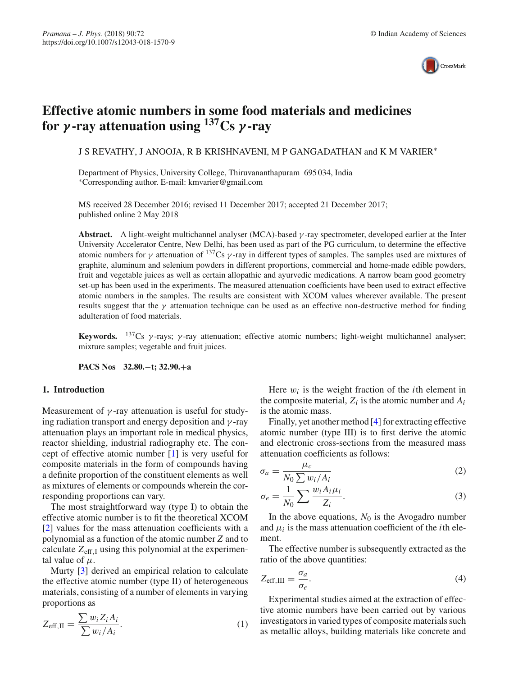

# **Effective atomic numbers in some food materials and medicines for** *γ* **-ray attenuation using 137Cs** *γ* **-ray**

J S REVATHY, J ANOOJA, R B KRISHNAVENI, M P GANGADATHAN and K M VARIER∗

Department of Physics, University College, Thiruvananthapuram 695 034, India ∗Corresponding author. E-mail: kmvarier@gmail.com

MS received 28 December 2016; revised 11 December 2017; accepted 21 December 2017; published online 2 May 2018

**Abstract.** A light-weight multichannel analyser (MCA)-based  $\gamma$ -ray spectrometer, developed earlier at the Inter University Accelerator Centre, New Delhi, has been used as part of the PG curriculum, to determine the effective atomic numbers for  $\gamma$  attenuation of <sup>137</sup>Cs  $\gamma$ -ray in different types of samples. The samples used are mixtures of graphite, aluminum and selenium powders in different proportions, commercial and home-made edible powders, fruit and vegetable juices as well as certain allopathic and ayurvedic medications. A narrow beam good geometry set-up has been used in the experiments. The measured attenuation coefficients have been used to extract effective atomic numbers in the samples. The results are consistent with XCOM values wherever available. The present results suggest that the  $\gamma$  attenuation technique can be used as an effective non-destructive method for finding adulteration of food materials.

**Keywords.** 137Cs γ -rays; γ -ray attenuation; effective atomic numbers; light-weight multichannel analyser; mixture samples; vegetable and fruit juices.

**PACS Nos 32.80.**−**t; 32.90.**+**a**

### **1. Introduction**

Measurement of  $\gamma$ -ray attenuation is useful for studying radiation transport and energy deposition and  $\gamma$ -ray attenuation plays an important role in medical physics, reactor shielding, industrial radiography etc. The concept of effective atomic number [\[1\]](#page-4-0) is very useful for composite materials in the form of compounds having a definite proportion of the constituent elements as well as mixtures of elements or compounds wherein the corresponding proportions can vary.

The most straightforward way (type I) to obtain the effective atomic number is to fit the theoretical XCOM [\[2\]](#page-4-1) values for the mass attenuation coefficients with a polynomial as a function of the atomic number *Z* and to calculate  $Z_{\text{eff},I}$  using this polynomial at the experimental value of  $\mu$ .

Murty [\[3\]](#page-4-2) derived an empirical relation to calculate the effective atomic number (type II) of heterogeneous materials, consisting of a number of elements in varying proportions as

$$
Z_{\text{eff,II}} = \frac{\sum w_i Z_i A_i}{\sum w_i / A_i}.
$$
 (1)

Here  $w_i$  is the weight fraction of the *i*th element in the composite material,  $Z_i$  is the atomic number and  $A_i$ is the atomic mass.

Finally, yet another method [\[4\]](#page-4-3) for extracting effective atomic number (type III) is to first derive the atomic and electronic cross-sections from the measured mass attenuation coefficients as follows:

$$
\sigma_a = \frac{\mu_c}{N_0 \sum w_i / A_i} \tag{2}
$$

$$
\sigma_e = \frac{1}{N_0} \sum \frac{w_i A_i \mu_i}{Z_i}.
$$
\n(3)

In the above equations,  $N_0$  is the Avogadro number and  $\mu_i$  is the mass attenuation coefficient of the *i*th element.

The effective number is subsequently extracted as the ratio of the above quantities:

$$
Z_{\text{eff,III}} = \frac{\sigma_a}{\sigma_e}.\tag{4}
$$

Experimental studies aimed at the extraction of effective atomic numbers have been carried out by various investigators in varied types of composite materials such as metallic alloys, building materials like concrete and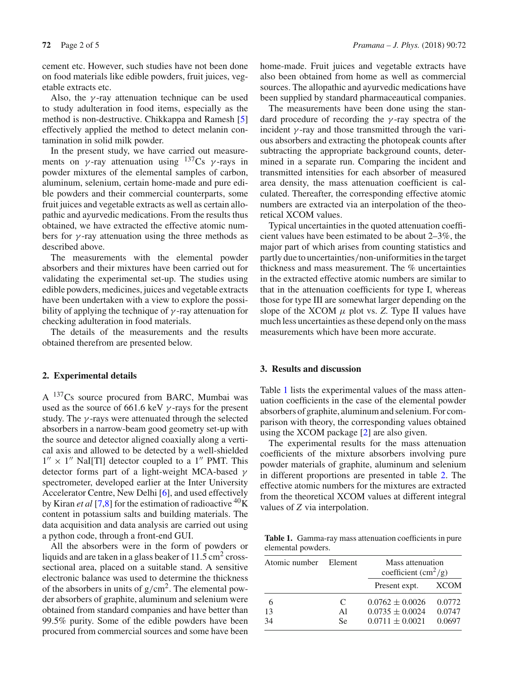cement etc. However, such studies have not been done on food materials like edible powders, fruit juices, vegetable extracts etc.

Also, the  $\gamma$ -ray attenuation technique can be used to study adulteration in food items, especially as the method is non-destructive. Chikkappa and Ramesh [\[5\]](#page-4-4) effectively applied the method to detect melanin contamination in solid milk powder.

In the present study, we have carried out measurements on  $\gamma$ -ray attenuation using  $137Cs$  γ-rays in powder mixtures of the elemental samples of carbon, aluminum, selenium, certain home-made and pure edible powders and their commercial counterparts, some fruit juices and vegetable extracts as well as certain allopathic and ayurvedic medications. From the results thus obtained, we have extracted the effective atomic numbers for  $\gamma$ -ray attenuation using the three methods as described above.

The measurements with the elemental powder absorbers and their mixtures have been carried out for validating the experimental set-up. The studies using edible powders, medicines, juices and vegetable extracts have been undertaken with a view to explore the possibility of applying the technique of  $\gamma$ -ray attenuation for checking adulteration in food materials.

The details of the measurements and the results obtained therefrom are presented below.

#### **2. Experimental details**

A 137Cs source procured from BARC, Mumbai was used as the source of 661.6 keV  $\gamma$ -rays for the present study. The  $\gamma$ -rays were attenuated through the selected absorbers in a narrow-beam good geometry set-up with the source and detector aligned coaxially along a vertical axis and allowed to be detected by a well-shielded  $1'' \times 1''$  NaI[Tl] detector coupled to a 1<sup>"</sup> PMT. This detector forms part of a light-weight MCA-based  $\gamma$ spectrometer, developed earlier at the Inter University Accelerator Centre, New Delhi [\[6](#page-4-5)], and used effectively by Kiran *et al* [\[7](#page-4-6)[,8](#page-4-7)] for the estimation of radioactive  ${}^{40}$ K content in potassium salts and building materials. The data acquisition and data analysis are carried out using a python code, through a front-end GUI.

All the absorbers were in the form of powders or liquids and are taken in a glass beaker of  $11.5 \text{ cm}^2$  crosssectional area, placed on a suitable stand. A sensitive electronic balance was used to determine the thickness of the absorbers in units of  $g/cm<sup>2</sup>$ . The elemental powder absorbers of graphite, aluminum and selenium were obtained from standard companies and have better than 99.5% purity. Some of the edible powders have been procured from commercial sources and some have been home-made. Fruit juices and vegetable extracts have also been obtained from home as well as commercial sources. The allopathic and ayurvedic medications have been supplied by standard pharmaceautical companies.

The measurements have been done using the standard procedure of recording the  $\gamma$ -ray spectra of the incident  $\gamma$ -ray and those transmitted through the various absorbers and extracting the photopeak counts after subtracting the appropriate background counts, determined in a separate run. Comparing the incident and transmitted intensities for each absorber of measured area density, the mass attenuation coefficient is calculated. Thereafter, the corresponding effective atomic numbers are extracted via an interpolation of the theoretical XCOM values.

Typical uncertainties in the quoted attenuation coefficient values have been estimated to be about 2–3%, the major part of which arises from counting statistics and partly due to uncertainties/non-uniformities in the target thickness and mass measurement. The % uncertainties in the extracted effective atomic numbers are similar to that in the attenuation coefficients for type I, whereas those for type III are somewhat larger depending on the slope of the XCOM  $\mu$  plot vs. *Z*. Type II values have much less uncertainties as these depend only on the mass measurements which have been more accurate.

## **3. Results and discussion**

Table [1](#page-1-0) lists the experimental values of the mass attenuation coefficients in the case of the elemental powder absorbers of graphite, aluminum and selenium. For comparison with theory, the corresponding values obtained using the XCOM package [\[2\]](#page-4-1) are also given.

The experimental results for the mass attenuation coefficients of the mixture absorbers involving pure powder materials of graphite, aluminum and selenium in different proportions are presented in table [2.](#page-2-0) The effective atomic numbers for the mixtures are extracted from the theoretical XCOM values at different integral values of *Z* via interpolation.

<span id="page-1-0"></span>**Table 1.** Gamma-ray mass attenuation coefficients in pure elemental powders.

| Atomic number Element |           | Mass attenuation<br>coefficient $\rm (cm^2/g)$ |        |
|-----------------------|-----------|------------------------------------------------|--------|
|                       |           | Present expt.                                  | XCOM   |
|                       | C         | $0.0762 \pm 0.0026$                            | 0.0772 |
| 13                    | A1        | $0.0735 \pm 0.0024$                            | 0.0747 |
| 34                    | <b>Se</b> | $0.0711 \pm 0.0021$                            | 0.0697 |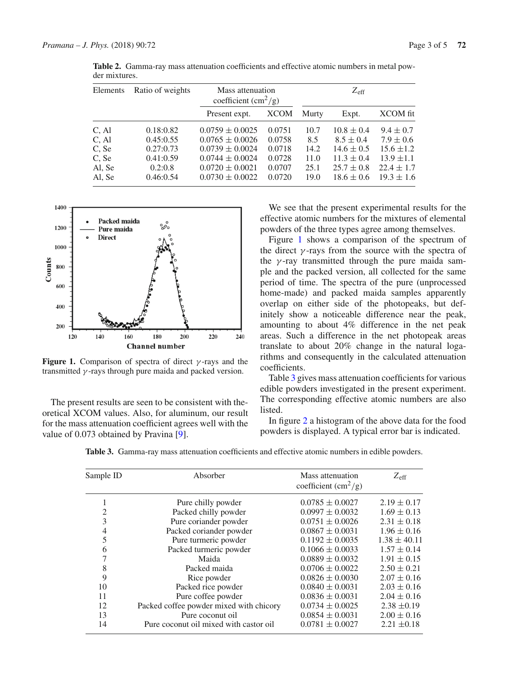| Mass attenuation<br>coefficient $\rm (cm^2/g)$ | $Z_{\rm eff}$                                                           |                 |
|------------------------------------------------|-------------------------------------------------------------------------|-----------------|
| Murty                                          | Expt.                                                                   | <b>XCOM</b> fit |
| 10.7                                           | $10.8 \pm 0.4$                                                          | $9.4 \pm 0.7$   |
| 8.5                                            | $8.5 \pm 0.4$                                                           | $7.9 \pm 0.6$   |
| 14.2                                           | $14.6 \pm 0.5$                                                          | $15.6 \pm 1.2$  |
| 11.0                                           | $11.3 \pm 0.4$                                                          | $13.9 \pm 1.1$  |
| 25.1                                           | $25.7 \pm 0.8$                                                          | $22.4 \pm 1.7$  |
| 19.0                                           | $18.6 \pm 0.6$                                                          | $19.3 \pm 1.6$  |
|                                                | <b>XCOM</b><br>0.0751<br>0.0758<br>0.0718<br>0.0728<br>0.0707<br>0.0720 |                 |

<span id="page-2-0"></span>**Table 2.** Gamma-ray mass attenuation coefficients and effective atomic numbers in metal powder mixtures.



<span id="page-2-1"></span>**Figure 1.** Comparison of spectra of direct  $\gamma$ -rays and the transmitted  $\gamma$ -rays through pure maida and packed version.

The present results are seen to be consistent with theoretical XCOM values. Also, for aluminum, our result for the mass attenuation coefficient agrees well with the value of 0.073 obtained by Pravina [\[9](#page-4-8)].

We see that the present experimental results for the effective atomic numbers for the mixtures of elemental powders of the three types agree among themselves.

Figure [1](#page-2-1) shows a comparison of the spectrum of the direct  $\gamma$ -rays from the source with the spectra of the  $\gamma$ -ray transmitted through the pure maida sample and the packed version, all collected for the same period of time. The spectra of the pure (unprocessed home-made) and packed maida samples apparently overlap on either side of the photopeaks, but definitely show a noticeable difference near the peak, amounting to about 4% difference in the net peak areas. Such a difference in the net photopeak areas translate to about 20% change in the natural logarithms and consequently in the calculated attenuation coefficients.

Table [3](#page-2-2) gives mass attenuation coefficients for various edible powders investigated in the present experiment. The corresponding effective atomic numbers are also listed.

In figure [2](#page-3-0) a histogram of the above data for the food powders is displayed. A typical error bar is indicated.

**Table 3.** Gamma-ray mass attenuation coefficients and effective atomic numbers in edible powders.

<span id="page-2-2"></span>

| Sample ID      | Absorber                                | Mass attenuation<br>coefficient $\rm (cm^2/g)$ | $Z_{\rm eff}$    |
|----------------|-----------------------------------------|------------------------------------------------|------------------|
|                | Pure chilly powder                      | $0.0785 \pm 0.0027$                            | $2.19 \pm 0.17$  |
| $\overline{2}$ | Packed chilly powder                    | $0.0997 \pm 0.0032$                            | $1.69 \pm 0.13$  |
| 3              | Pure coriander powder                   | $0.0751 \pm 0.0026$                            | $2.31 \pm 0.18$  |
| 4              | Packed coriander powder                 | $0.0867 \pm 0.0031$                            | $1.96 \pm 0.16$  |
| 5              | Pure turmeric powder                    | $0.1192 \pm 0.0035$                            | $1.38 \pm 40.11$ |
| 6              | Packed turmeric powder                  | $0.1066 \pm 0.0033$                            | $1.57 \pm 0.14$  |
| 7              | Maida                                   | $0.0889 \pm 0.0032$                            | $1.91 \pm 0.15$  |
| 8              | Packed maida                            | $0.0706 \pm 0.0022$                            | $2.50 \pm 0.21$  |
| 9              | Rice powder                             | $0.0826 \pm 0.0030$                            | $2.07 \pm 0.16$  |
| 10             | Packed rice powder                      | $0.0840 \pm 0.0031$                            | $2.03 \pm 0.16$  |
| 11             | Pure coffee powder                      | $0.0836 \pm 0.0031$                            | $2.04 \pm 0.16$  |
| 12             | Packed coffee powder mixed with chicory | $0.0734 \pm 0.0025$                            | $2.38 \pm 0.19$  |
| 13             | Pure coconut oil                        | $0.0854 \pm 0.0031$                            | $2.00 \pm 0.16$  |
| 14             | Pure coconut oil mixed with castor oil  | $0.0781 \pm 0.0027$                            | $2.21 \pm 0.18$  |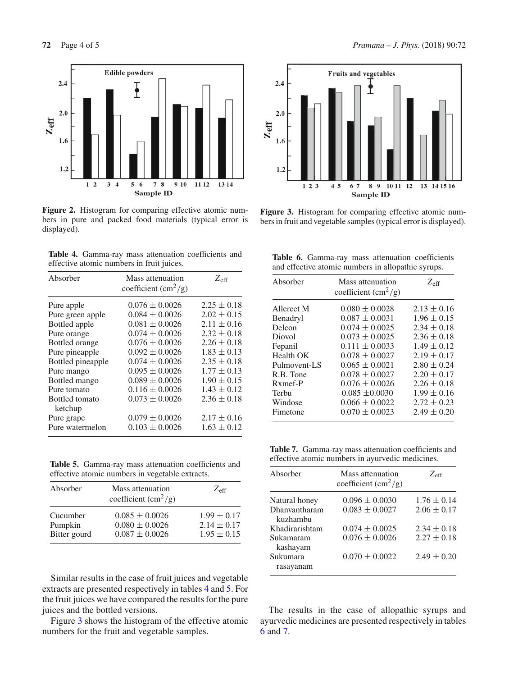

<span id="page-3-0"></span>Figure 2. Histogram for comparing effective atomic numbers in pure and packed food materials (typical error is displayed).

<span id="page-3-1"></span>

| <b>Table 4.</b> Gamma-ray mass attenuation coefficients and |  |  |
|-------------------------------------------------------------|--|--|
| effective atomic numbers in fruit juices.                   |  |  |

| Absorber                  | Mass attenuation<br>coefficient $\rm (cm^2/g)$ | $Z_{\rm eff}$   |
|---------------------------|------------------------------------------------|-----------------|
| Pure apple                | $0.076 \pm 0.0026$                             | $2.25 \pm 0.18$ |
| Pure green apple          | $0.084 \pm 0.0026$                             | $2.02 \pm 0.15$ |
| Bottled apple             | $0.081 \pm 0.0026$                             | $2.11 \pm 0.16$ |
| Pure orange               | $0.074 \pm 0.0026$                             | $2.32 \pm 0.18$ |
| Bottled orange            | $0.076 \pm 0.0026$                             | $2.26 \pm 0.18$ |
| Pure pineapple            | $0.092 \pm 0.0026$                             | $1.83 \pm 0.13$ |
| Bottled pineapple         | $0.074 \pm 0.0026$                             | $2.35 \pm 0.18$ |
| Pure mango                | $0.095 \pm 0.0026$                             | $1.77 \pm 0.13$ |
| Bottled mango             | $0.089 \pm 0.0026$                             | $1.90 \pm 0.15$ |
| Pure tomato               | $0.116 \pm 0.0026$                             | $1.43 \pm 0.12$ |
| Bottled tomato<br>ketchup | $0.073 \pm 0.0026$                             | $2.36 \pm 0.18$ |
| Pure grape                | $0.079 \pm 0.0026$                             | $2.17 \pm 0.16$ |
| Pure watermelon           | $0.103 \pm 0.0026$                             | $1.63 \pm 0.12$ |

<span id="page-3-2"></span>**Table 5.** Gamma-ray mass attenuation coefficients and effective atomic numbers in vegetable extracts.

| Absorber     | Mass attenuation<br>coefficient $\rm (cm^2/g)$ | $Z_{\rm eff}$   |
|--------------|------------------------------------------------|-----------------|
| Cucumber     | $0.085 \pm 0.0026$                             | $1.99 \pm 0.17$ |
| Pumpkin      | $0.080 \pm 0.0026$                             | $2.14 \pm 0.17$ |
| Bitter gourd | $0.087 \pm 0.0026$                             | $1.95 \pm 0.15$ |

Similar results in the case of fruit juices and vegetable extracts are presented respectively in tables [4](#page-3-1) and [5.](#page-3-2) For the fruit juices we have compared the results for the pure juices and the bottled versions.

Figure [3](#page-3-3) shows the histogram of the effective atomic numbers for the fruit and vegetable samples.



<span id="page-3-3"></span>Figure 3. Histogram for comparing effective atomic numbers in fruit and vegetable samples (typical error is displayed).

<span id="page-3-4"></span>

|  | Table 6. Gamma-ray mass attenuation coefficients   |  |  |
|--|----------------------------------------------------|--|--|
|  | and effective atomic numbers in allopathic syrups. |  |  |

| Absorber            | Mass attenuation<br>coefficient $\rm (cm^2/g)$ | $Z_{\rm eff}$   |
|---------------------|------------------------------------------------|-----------------|
| Allercet M          | $0.080 \pm 0.0028$                             | $2.13 \pm 0.16$ |
| Benadryl            | $0.087 \pm 0.0031$                             | $1.96 \pm 0.15$ |
| Delcon              | $0.074 \pm 0.0025$                             | $2.34 \pm 0.18$ |
| Diovol              | $0.073 \pm 0.0025$                             | $2.36 \pm 0.18$ |
| Fepanil             | $0.111 \pm 0.0033$                             | $1.49 \pm 0.12$ |
| <b>Health OK</b>    | $0.078 \pm 0.0027$                             | $2.19 \pm 0.17$ |
| Pulmovent-LS        | $0.065 \pm 0.0021$                             | $2.80 \pm 0.24$ |
| R.B. Tone           | $0.078 \pm 0.0027$                             | $2.20 \pm 0.17$ |
| R <sub>xmef-P</sub> | $0.076 \pm 0.0026$                             | $2.26 \pm 0.18$ |
| Terbu               | $0.085 \pm 0.0030$                             | $1.99 \pm 0.16$ |
| Windose             | $0.066 \pm 0.0022$                             | $2.72 \pm 0.23$ |
| Fimetone            | $0.070 \pm 0.0023$                             | $2.49 \pm 0.20$ |

<span id="page-3-5"></span>**Table 7.** Gamma-ray mass attenuation coefficients and effective atomic numbers in ayurvedic medicines.

| Absorber                  | Mass attenuation<br>coefficient $\rm (cm^2/g)$ | $Z_{\rm eff}$   |
|---------------------------|------------------------------------------------|-----------------|
| Natural honey             | $0.096 \pm 0.0030$                             | $1.76 \pm 0.14$ |
| Dhanyantharam<br>kuzhambu | $0.083 \pm 0.0027$                             | $2.06 \pm 0.17$ |
| Khadirarishtam            | $0.074 \pm 0.0025$                             | $2.34 \pm 0.18$ |
| Sukamaram<br>kashayam     | $0.076 \pm 0.0026$                             | $2.27 \pm 0.18$ |
| Sukumara<br>rasayanam     | $0.070 \pm 0.0022$                             | $2.49 \pm 0.20$ |

The results in the case of allopathic syrups and ayurvedic medicines are presented respectively in tables [6](#page-3-4) and [7.](#page-3-5)